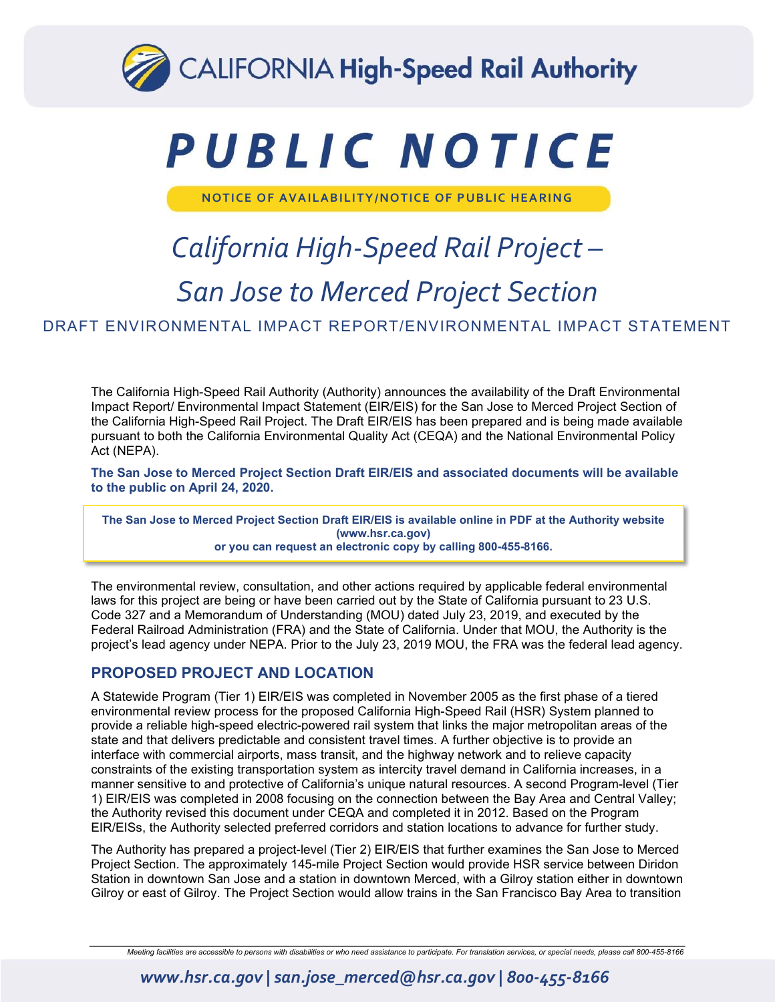

# PUBLIC NOTICE

**NOTICE OF AVAILABILITY/NOTICE OF PUBLIC HEARING** 

# *California High-Speed Rail Project – San Jose to Merced Project Section*

DRAFT ENVIRONMENTAL IMPACT REPORT/ENVIRONMENTAL IMPACT STATEMENT

The California High-Speed Rail Authority (Authority) announces the availability of the Draft Environmental Impact Report/ Environmental Impact Statement (EIR/EIS) for the San Jose to Merced Project Section of the California High-Speed Rail Project. The Draft EIR/EIS has been prepared and is being made available pursuant to both the California Environmental Quality Act (CEQA) and the National Environmental Policy Act (NEPA).

**The San Jose to Merced Project Section Draft EIR/EIS and associated documents will be available to the public on April 24, 2020.** 

**The San Jose to Merced Project Section Draft EIR/EIS is available online in PDF at the Authority website (www.hsr.ca.gov) or you can request an electronic copy by calling 800-455-8166.**

The environmental review, consultation, and other actions required by applicable federal environmental laws for this project are being or have been carried out by the State of California pursuant to 23 U.S. Code 327 and a Memorandum of Understanding (MOU) dated July 23, 2019, and executed by the Federal Railroad Administration (FRA) and the State of California. Under that MOU, the Authority is the project's lead agency under NEPA. Prior to the July 23, 2019 MOU, the FRA was the federal lead agency.

### **PROPOSED PROJECT AND LOCATION**

A Statewide Program (Tier 1) EIR/EIS was completed in November 2005 as the first phase of a tiered environmental review process for the proposed California High-Speed Rail (HSR) System planned to provide a reliable high-speed electric-powered rail system that links the major metropolitan areas of the state and that delivers predictable and consistent travel times. A further objective is to provide an interface with commercial airports, mass transit, and the highway network and to relieve capacity constraints of the existing transportation system as intercity travel demand in California increases, in a manner sensitive to and protective of California's unique natural resources. A second Program-level (Tier 1) EIR/EIS was completed in 2008 focusing on the connection between the Bay Area and Central Valley; the Authority revised this document under CEQA and completed it in 2012. Based on the Program EIR/EISs, the Authority selected preferred corridors and station locations to advance for further study.

The Authority has prepared a project-level (Tier 2) EIR/EIS that further examines the San Jose to Merced Project Section. The approximately 145-mile Project Section would provide HSR service between Diridon Station in downtown San Jose and a station in downtown Merced, with a Gilroy station either in downtown Gilroy or east of Gilroy. The Project Section would allow trains in the San Francisco Bay Area to transition

*Meeting facilities are accessible to persons with disabilities or who need assistance to participate. For translation services, or special needs, please call 800-455-8166*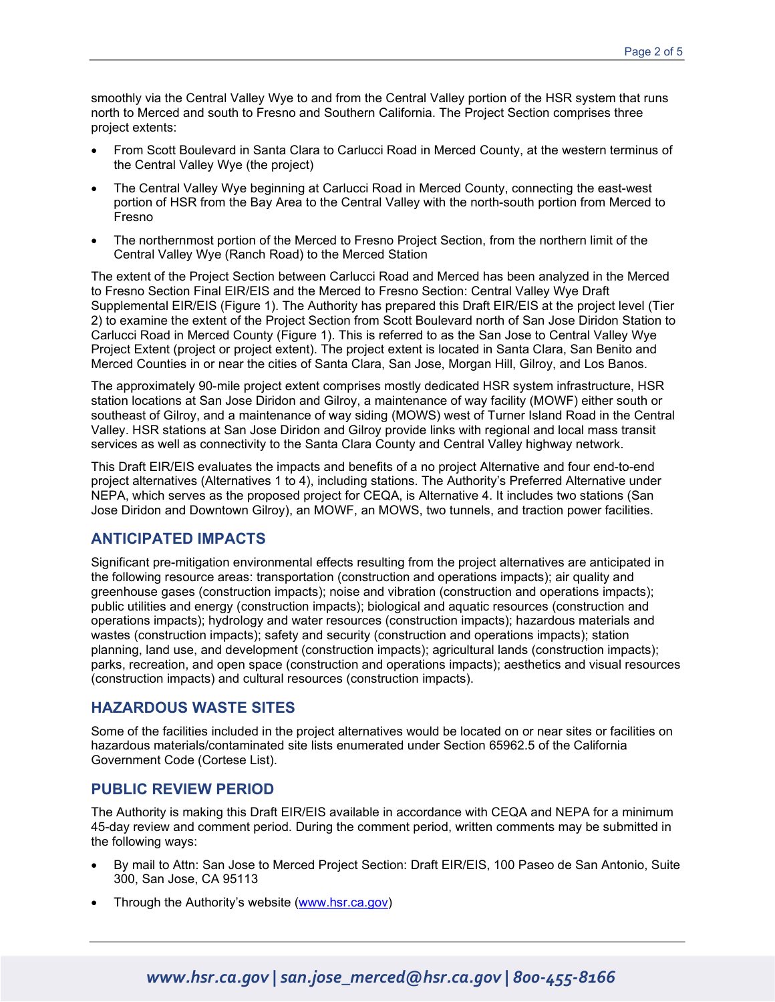smoothly via the Central Valley Wye to and from the Central Valley portion of the HSR system that runs north to Merced and south to Fresno and Southern California. The Project Section comprises three project extents:

- From Scott Boulevard in Santa Clara to Carlucci Road in Merced County, at the western terminus of the Central Valley Wye (the project)
- The Central Valley Wye beginning at Carlucci Road in Merced County, connecting the east-west portion of HSR from the Bay Area to the Central Valley with the north-south portion from Merced to Fresno
- The northernmost portion of the Merced to Fresno Project Section, from the northern limit of the Central Valley Wye (Ranch Road) to the Merced Station

The extent of the Project Section between Carlucci Road and Merced has been analyzed in the Merced to Fresno Section Final EIR/EIS and the Merced to Fresno Section: Central Valley Wye Draft Supplemental EIR/EIS (Figure 1). The Authority has prepared this Draft EIR/EIS at the project level (Tier 2) to examine the extent of the Project Section from Scott Boulevard north of San Jose Diridon Station to Carlucci Road in Merced County (Figure 1). This is referred to as the San Jose to Central Valley Wye Project Extent (project or project extent). The project extent is located in Santa Clara, San Benito and Merced Counties in or near the cities of Santa Clara, San Jose, Morgan Hill, Gilroy, and Los Banos.

The approximately 90-mile project extent comprises mostly dedicated HSR system infrastructure, HSR station locations at San Jose Diridon and Gilroy, a maintenance of way facility (MOWF) either south or southeast of Gilroy, and a maintenance of way siding (MOWS) west of Turner Island Road in the Central Valley. HSR stations at San Jose Diridon and Gilroy provide links with regional and local mass transit services as well as connectivity to the Santa Clara County and Central Valley highway network.

This Draft EIR/EIS evaluates the impacts and benefits of a no project Alternative and four end-to-end project alternatives (Alternatives 1 to 4), including stations. The Authority's Preferred Alternative under NEPA, which serves as the proposed project for CEQA, is Alternative 4. It includes two stations (San Jose Diridon and Downtown Gilroy), an MOWF, an MOWS, two tunnels, and traction power facilities.

#### **ANTICIPATED IMPACTS**

Significant pre-mitigation environmental effects resulting from the project alternatives are anticipated in the following resource areas: transportation (construction and operations impacts); air quality and greenhouse gases (construction impacts); noise and vibration (construction and operations impacts); public utilities and energy (construction impacts); biological and aquatic resources (construction and operations impacts); hydrology and water resources (construction impacts); hazardous materials and wastes (construction impacts); safety and security (construction and operations impacts); station planning, land use, and development (construction impacts); agricultural lands (construction impacts); parks, recreation, and open space (construction and operations impacts); aesthetics and visual resources (construction impacts) and cultural resources (construction impacts).

#### **HAZARDOUS WASTE SITES**

Some of the facilities included in the project alternatives would be located on or near sites or facilities on hazardous materials/contaminated site lists enumerated under Section 65962.5 of the California Government Code (Cortese List).

#### **PUBLIC REVIEW PERIOD**

The Authority is making this Draft EIR/EIS available in accordance with CEQA and NEPA for a minimum 45-day review and comment period. During the comment period, written comments may be submitted in the following ways:

- By mail to Attn: San Jose to Merced Project Section: Draft EIR/EIS, 100 Paseo de San Antonio, Suite 300, San Jose, CA 95113
- Through the Authority's website [\(www.hsr.ca.gov\)](http://www.hsr.ca.gov/)

## *www.hsr.ca.gov | san.jose\_merced@hsr.ca.gov | 800-455-8166*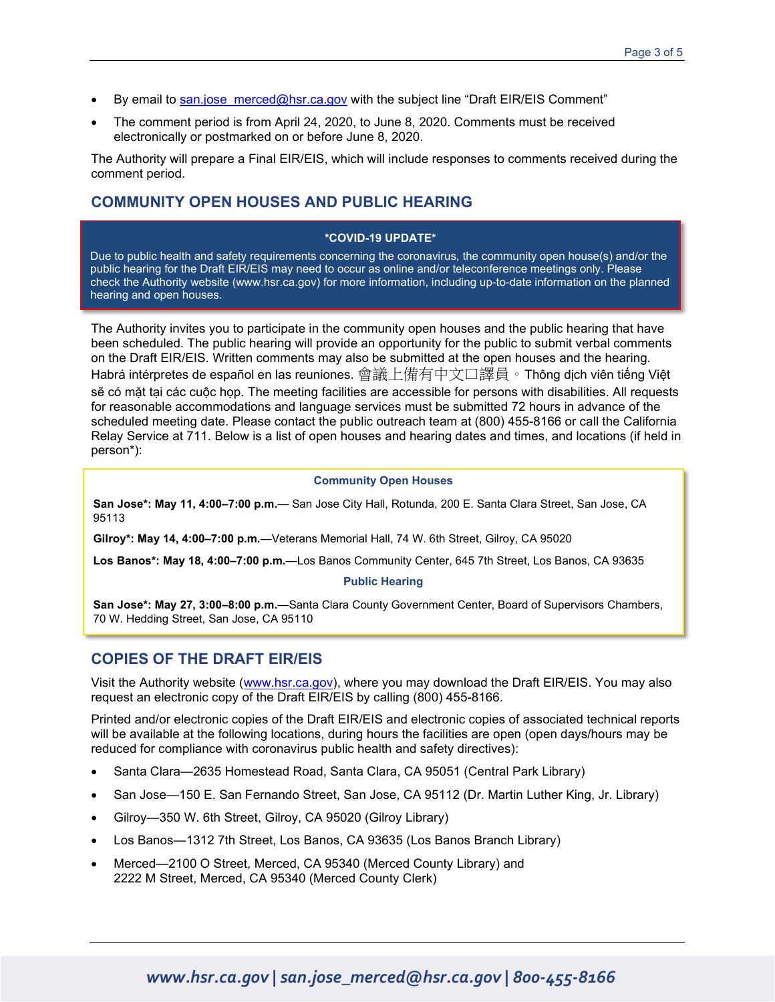- By email to [san.jose\\_merced@hsr.ca.gov](mailto:san.jose_merced@hsr.ca.gov) with the subject line "Draft EIR/EIS Comment"
- The comment period is from April 24, 2020, to June 8, 2020. Comments must be received electronically or postmarked on or before June 8, 2020.

The Authority will prepare a Final EIR/EIS, which will include responses to comments received during the comment period.

#### **COMMUNITY OPEN HOUSES AND PUBLIC HEARING**

#### **\*COVID-19 UPDATE\***

Due to public health and safety requirements concerning the coronavirus, the community open house(s) and/or the public hearing for the Draft EIR/EIS may need to occur as online and/or teleconference meetings only. Please check the Authority website [\(www.hsr.ca.gov\)](http://www.hsr.ca.gov/) for more information, including up-to-date information on the planned hearing and open houses.

The Authority invites you to participate in the community open houses and the public hearing that have been scheduled. The public hearing will provide an opportunity for the public to submit verbal comments on the Draft EIR/EIS. Written comments may also be submitted at the open houses and the hearing. Habrá intérpretes de español en las reuniones. 會議上備有中文口譯員。Thông dịch viên tiếng Việt sẽ có mặt tại các cuộc họp. The meeting facilities are accessible for persons with disabilities. All requests for reasonable accommodations and language services must be submitted 72 hours in advance of the scheduled meeting date. Please contact the public outreach team at (800) 455-8166 or call the California Relay Service at 711. Below is a list of open houses and hearing dates and times, and locations (if held in person\*):

#### **Community Open Houses**

**San Jose\*: May 11, 4:00–7:00 p.m.**— San Jose City Hall, Rotunda, 200 E. Santa Clara Street, San Jose, CA 95113

**Gilroy\*: May 14, 4:00–7:00 p.m.**—Veterans Memorial Hall, 74 W. 6th Street, Gilroy, CA 95020

**Los Banos\*: May 18, 4:00–7:00 p.m.**—Los Banos Community Center, 645 7th Street, Los Banos, CA 93635

#### **Public Hearing**

**San Jose\*: May 27, 3:00–8:00 p.m.**—Santa Clara County Government Center, Board of Supervisors Chambers, 70 W. Hedding Street, San Jose, CA 95110

#### **COPIES OF THE DRAFT EIR/EIS**

Visit the Authority website [\(www.hsr.ca.gov\)](http://www.hsr.ca.gov/), where you may download the Draft EIR/EIS. You may also request an electronic copy of the Draft EIR/EIS by calling (800) 455-8166.

Printed and/or electronic copies of the Draft EIR/EIS and electronic copies of associated technical reports will be available at the following locations, during hours the facilities are open (open days/hours may be reduced for compliance with coronavirus public health and safety directives):

- Santa Clara—2635 Homestead Road, Santa Clara, CA 95051 (Central Park Library)
- San Jose—150 E. San Fernando Street, San Jose, CA 95112 (Dr. Martin Luther King, Jr. Library)
- Gilroy—350 W. 6th Street, Gilroy, CA 95020 (Gilroy Library)
- Los Banos—1312 7th Street, Los Banos, CA 93635 (Los Banos Branch Library)
- Merced—2100 O Street, Merced, CA 95340 (Merced County Library) and 2222 M Street, Merced, CA 95340 (Merced County Clerk)

# *www.hsr.ca.gov | san.jose\_merced@hsr.ca.gov | 800-455-8166*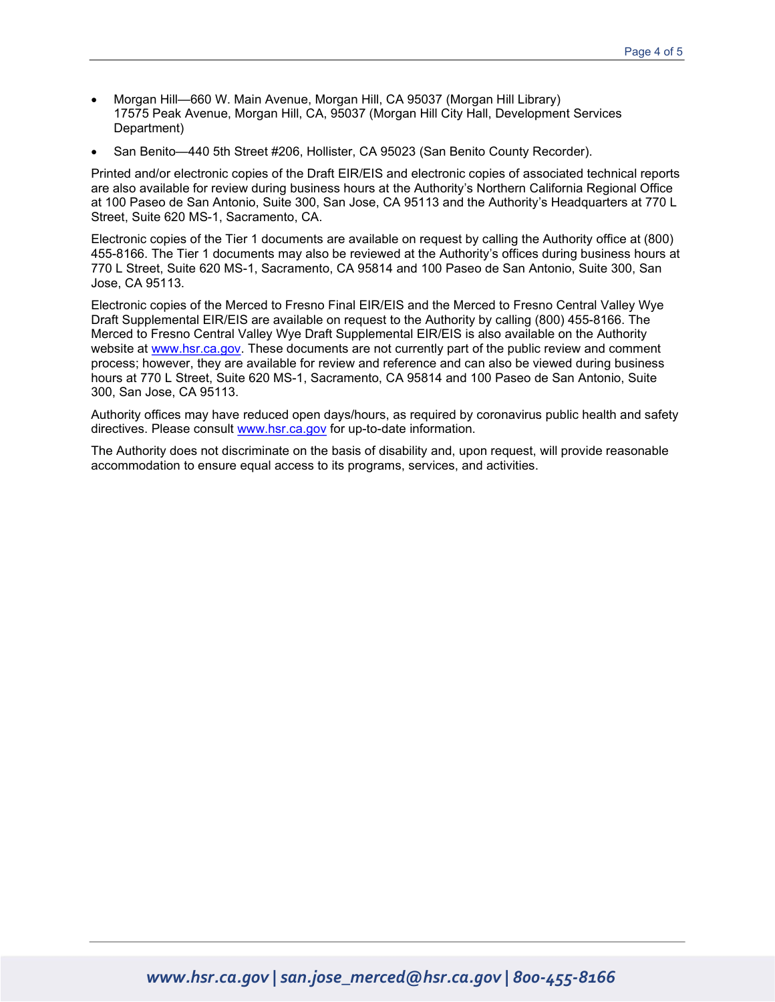- Morgan Hill—660 W. Main Avenue, Morgan Hill, CA 95037 (Morgan Hill Library) 17575 Peak Avenue, Morgan Hill, CA, 95037 (Morgan Hill City Hall, Development Services Department)
- San Benito—440 5th Street #206, Hollister, CA 95023 (San Benito County Recorder).

Printed and/or electronic copies of the Draft EIR/EIS and electronic copies of associated technical reports are also available for review during business hours at the Authority's Northern California Regional Office at 100 Paseo de San Antonio, Suite 300, San Jose, CA 95113 and the Authority's Headquarters at 770 L Street, Suite 620 MS-1, Sacramento, CA.

Electronic copies of the Tier 1 documents are available on request by calling the Authority office at (800) 455-8166. The Tier 1 documents may also be reviewed at the Authority's offices during business hours at 770 L Street, Suite 620 MS-1, Sacramento, CA 95814 and 100 Paseo de San Antonio, Suite 300, San Jose, CA 95113.

Electronic copies of the Merced to Fresno Final EIR/EIS and the Merced to Fresno Central Valley Wye Draft Supplemental EIR/EIS are available on request to the Authority by calling (800) 455-8166. The Merced to Fresno Central Valley Wye Draft Supplemental EIR/EIS is also available on the Authority website at [www.hsr.ca.gov.](http://www.hsr.ca.gov/) These documents are not currently part of the public review and comment process; however, they are available for review and reference and can also be viewed during business hours at 770 L Street, Suite 620 MS-1, Sacramento, CA 95814 and 100 Paseo de San Antonio, Suite 300, San Jose, CA 95113.

Authority offices may have reduced open days/hours, as required by coronavirus public health and safety directives. Please consult [www.hsr.ca.gov](http://www.hsr.ca.gov/) for up-to-date information.

The Authority does not discriminate on the basis of disability and, upon request, will provide reasonable accommodation to ensure equal access to its programs, services, and activities.